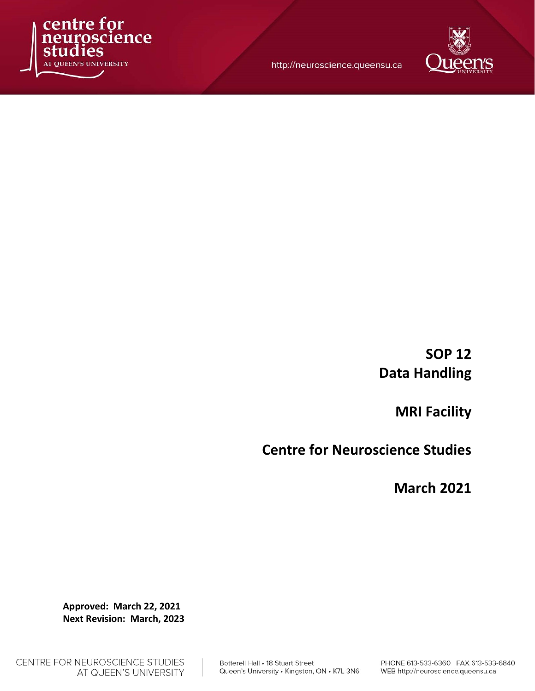

http://neuroscience.queensu.ca



MRI Facility

Centre for Neuroscience Studies

March 2021

Approved: March 22, 2021 Next Revision: March, 2023

Botterell Hall . 18 Stuart Street Queen's University . Kingston, ON . K7L 3N6

CENTRE FOR NEUROSCIENCE STUDIES AT QUEEN'S UNIVERSITY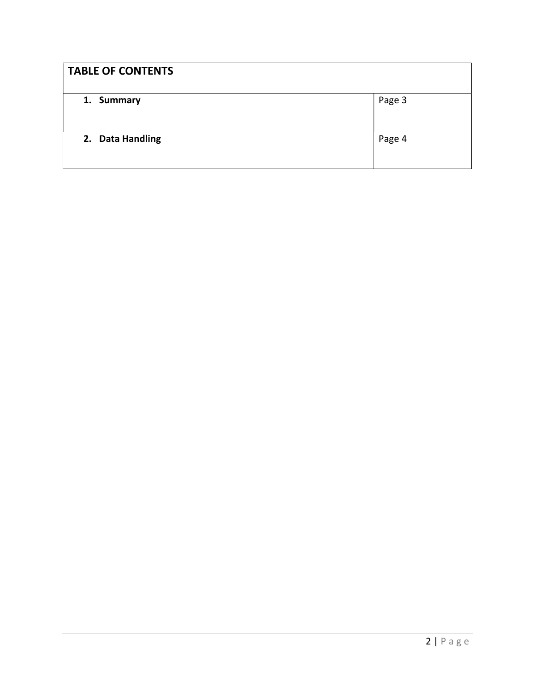| <b>TABLE OF CONTENTS</b> |        |
|--------------------------|--------|
| 1. Summary               | Page 3 |
| 2. Data Handling         | Page 4 |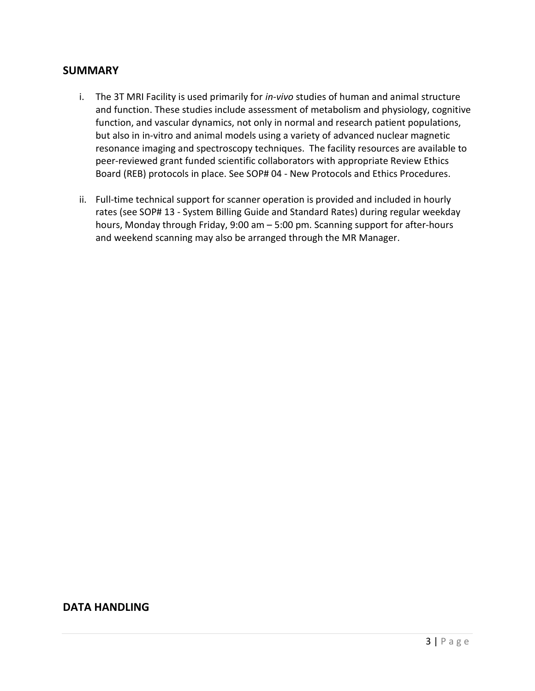## **SUMMARY**

- i. The 3T MRI Facility is used primarily for in-vivo studies of human and animal structure and function. These studies include assessment of metabolism and physiology, cognitive function, and vascular dynamics, not only in normal and research patient populations, but also in in-vitro and animal models using a variety of advanced nuclear magnetic resonance imaging and spectroscopy techniques. The facility resources are available to peer-reviewed grant funded scientific collaborators with appropriate Review Ethics Board (REB) protocols in place. See SOP# 04 - New Protocols and Ethics Procedures.
- ii. Full-time technical support for scanner operation is provided and included in hourly rates (see SOP# 13 - System Billing Guide and Standard Rates) during regular weekday hours, Monday through Friday, 9:00 am – 5:00 pm. Scanning support for after-hours and weekend scanning may also be arranged through the MR Manager.

## DATA HANDLING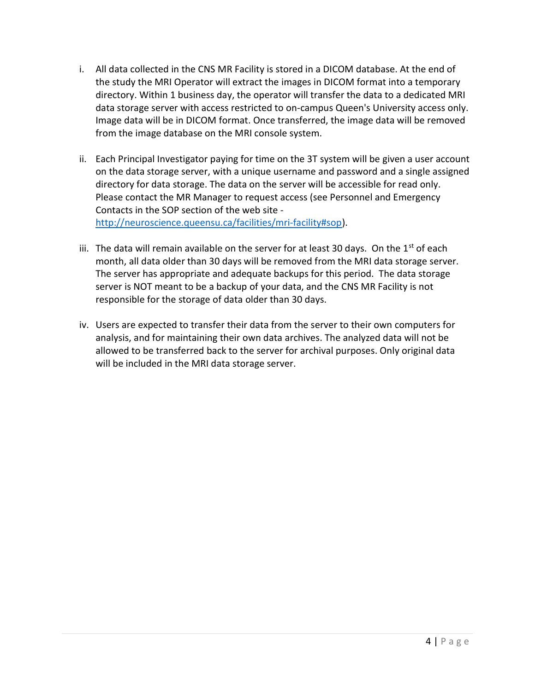- i. All data collected in the CNS MR Facility is stored in a DICOM database. At the end of the study the MRI Operator will extract the images in DICOM format into a temporary directory. Within 1 business day, the operator will transfer the data to a dedicated MRI data storage server with access restricted to on-campus Queen's University access only. Image data will be in DICOM format. Once transferred, the image data will be removed from the image database on the MRI console system.
- ii. Each Principal Investigator paying for time on the 3T system will be given a user account on the data storage server, with a unique username and password and a single assigned directory for data storage. The data on the server will be accessible for read only. Please contact the MR Manager to request access (see Personnel and Emergency Contacts in the SOP section of the web site http://neuroscience.queensu.ca/facilities/mri-facility#sop).
- iii. The data will remain available on the server for at least 30 days. On the  $1<sup>st</sup>$  of each month, all data older than 30 days will be removed from the MRI data storage server. The server has appropriate and adequate backups for this period. The data storage server is NOT meant to be a backup of your data, and the CNS MR Facility is not responsible for the storage of data older than 30 days.
- iv. Users are expected to transfer their data from the server to their own computers for analysis, and for maintaining their own data archives. The analyzed data will not be allowed to be transferred back to the server for archival purposes. Only original data will be included in the MRI data storage server.